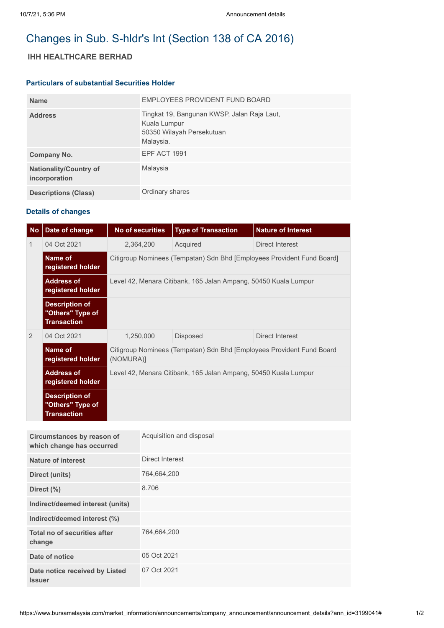# Changes in Sub. S-hldr's Int (Section 138 of CA 2016)

## **IHH HEALTHCARE BERHAD**

#### **Particulars of substantial Securities Holder**

| <b>Name</b>                                    | EMPLOYEES PROVIDENT FUND BOARD                                                                        |
|------------------------------------------------|-------------------------------------------------------------------------------------------------------|
| <b>Address</b>                                 | Tingkat 19, Bangunan KWSP, Jalan Raja Laut,<br>Kuala Lumpur<br>50350 Wilayah Persekutuan<br>Malaysia. |
| Company No.                                    | <b>EPF ACT 1991</b>                                                                                   |
| <b>Nationality/Country of</b><br>incorporation | Malaysia                                                                                              |
| <b>Descriptions (Class)</b>                    | Ordinary shares                                                                                       |

### **Details of changes**

| <b>No</b>                                               | Date of change                                                  |                                                                                    | No of securities         | <b>Type of Transaction</b> | <b>Nature of Interest</b> |  |  |
|---------------------------------------------------------|-----------------------------------------------------------------|------------------------------------------------------------------------------------|--------------------------|----------------------------|---------------------------|--|--|
| 1                                                       | 04 Oct 2021                                                     |                                                                                    | 2,364,200                | Acquired                   | Direct Interest           |  |  |
|                                                         | Name of<br>registered holder                                    | Citigroup Nominees (Tempatan) Sdn Bhd [Employees Provident Fund Board]             |                          |                            |                           |  |  |
|                                                         | <b>Address of</b><br>registered holder                          | Level 42, Menara Citibank, 165 Jalan Ampang, 50450 Kuala Lumpur                    |                          |                            |                           |  |  |
|                                                         | <b>Description of</b><br>"Others" Type of<br><b>Transaction</b> |                                                                                    |                          |                            |                           |  |  |
| $\mathcal{P}$                                           | 04 Oct 2021                                                     | 1,250,000                                                                          |                          | <b>Disposed</b>            | Direct Interest           |  |  |
|                                                         | Name of<br>registered holder                                    | Citigroup Nominees (Tempatan) Sdn Bhd [Employees Provident Fund Board<br>(NOMURA)] |                          |                            |                           |  |  |
|                                                         | <b>Address of</b><br>registered holder                          | Level 42, Menara Citibank, 165 Jalan Ampang, 50450 Kuala Lumpur                    |                          |                            |                           |  |  |
|                                                         | <b>Description of</b><br>"Others" Type of<br><b>Transaction</b> |                                                                                    |                          |                            |                           |  |  |
|                                                         |                                                                 |                                                                                    |                          |                            |                           |  |  |
| Circumstances by reason of<br>which change has occurred |                                                                 |                                                                                    | Acquisition and disposal |                            |                           |  |  |
| Nature of interest                                      |                                                                 | Direct Interest                                                                    |                          |                            |                           |  |  |

| Nature of interest                              | Direct Interest |
|-------------------------------------------------|-----------------|
| Direct (units)                                  | 764,664,200     |
| Direct (%)                                      | 8.706           |
| Indirect/deemed interest (units)                |                 |
| Indirect/deemed interest (%)                    |                 |
| Total no of securities after<br>change          | 764,664,200     |
| Date of notice                                  | 05 Oct 2021     |
| Date notice received by Listed<br><b>Issuer</b> | 07 Oct 2021     |